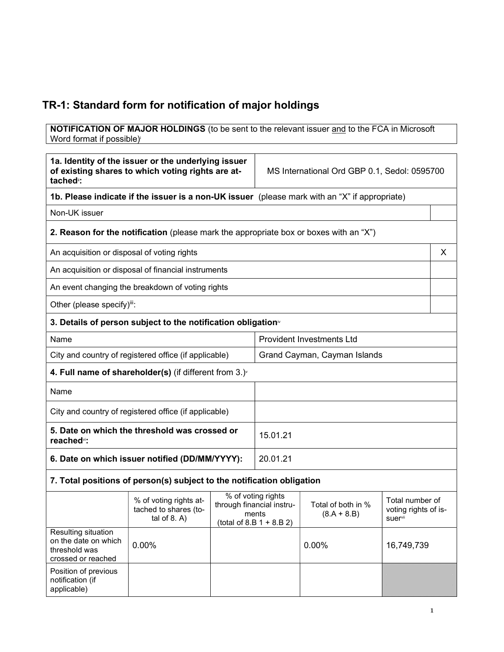# TR-1: Standard form for notification of major holdings

**NOTIFICATION OF MAJOR HOLDINGS** (to be sent to the relevant issuer and to the FCA in Microsoft Word format if possible)

| 1a. Identity of the issuer or the underlying issuer<br>of existing shares to which voting rights are at-<br>tached <sup>"</sup> : |                                                                                               |                                                                                        | MS International Ord GBP 0.1, Sedol: 0595700 |                                     |                                                    |   |
|-----------------------------------------------------------------------------------------------------------------------------------|-----------------------------------------------------------------------------------------------|----------------------------------------------------------------------------------------|----------------------------------------------|-------------------------------------|----------------------------------------------------|---|
|                                                                                                                                   | 1b. Please indicate if the issuer is a non-UK issuer (please mark with an "X" if appropriate) |                                                                                        |                                              |                                     |                                                    |   |
| Non-UK issuer                                                                                                                     |                                                                                               |                                                                                        |                                              |                                     |                                                    |   |
|                                                                                                                                   | 2. Reason for the notification (please mark the appropriate box or boxes with an "X")         |                                                                                        |                                              |                                     |                                                    |   |
| An acquisition or disposal of voting rights                                                                                       |                                                                                               |                                                                                        |                                              |                                     |                                                    | X |
|                                                                                                                                   | An acquisition or disposal of financial instruments                                           |                                                                                        |                                              |                                     |                                                    |   |
|                                                                                                                                   | An event changing the breakdown of voting rights                                              |                                                                                        |                                              |                                     |                                                    |   |
| Other (please specify)iii:                                                                                                        |                                                                                               |                                                                                        |                                              |                                     |                                                    |   |
|                                                                                                                                   | 3. Details of person subject to the notification obligation <sup>®</sup>                      |                                                                                        |                                              |                                     |                                                    |   |
| Name                                                                                                                              |                                                                                               |                                                                                        | <b>Provident Investments Ltd</b>             |                                     |                                                    |   |
| City and country of registered office (if applicable)                                                                             |                                                                                               |                                                                                        | Grand Cayman, Cayman Islands                 |                                     |                                                    |   |
| 4. Full name of shareholder(s) (if different from $3.$ ) $\check{ }$                                                              |                                                                                               |                                                                                        |                                              |                                     |                                                    |   |
| Name                                                                                                                              |                                                                                               |                                                                                        |                                              |                                     |                                                    |   |
| City and country of registered office (if applicable)                                                                             |                                                                                               |                                                                                        |                                              |                                     |                                                    |   |
| 5. Date on which the threshold was crossed or<br>reached <sup>vi</sup> :                                                          |                                                                                               |                                                                                        | 15.01.21                                     |                                     |                                                    |   |
| 6. Date on which issuer notified (DD/MM/YYYY):                                                                                    |                                                                                               |                                                                                        | 20.01.21                                     |                                     |                                                    |   |
|                                                                                                                                   | 7. Total positions of person(s) subject to the notification obligation                        |                                                                                        |                                              |                                     |                                                    |   |
|                                                                                                                                   | % of voting rights at-<br>tached to shares (to-<br>tal of $8. A$ )                            | % of voting rights<br>through financial instru-<br>ments<br>$(total of 8.B 1 + 8.B 2)$ |                                              | Total of both in %<br>$(8.A + 8.B)$ | Total number of<br>voting rights of is-<br>suervii |   |
| Resulting situation<br>on the date on which<br>threshold was<br>crossed or reached                                                | 0.00%                                                                                         |                                                                                        |                                              | 0.00%                               | 16,749,739                                         |   |
| Position of previous<br>notification (if<br>applicable)                                                                           |                                                                                               |                                                                                        |                                              |                                     |                                                    |   |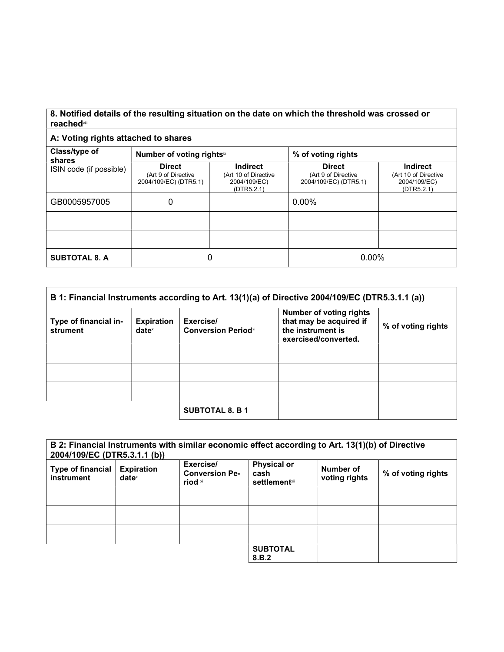#### 8. Notified details of the resulting situation on the date on which the threshold was crossed or reached<sup>vii</sup>

### A: Voting rights attached to shares

| Class/type of<br>shares | Number of voting rights <sup>ix</sup>                         |                                                                       | % of voting rights                                            |                                                                |
|-------------------------|---------------------------------------------------------------|-----------------------------------------------------------------------|---------------------------------------------------------------|----------------------------------------------------------------|
| ISIN code (if possible) | <b>Direct</b><br>(Art 9 of Directive<br>2004/109/EC) (DTR5.1) | <b>Indirect</b><br>(Art 10 of Directive<br>2004/109/EC)<br>(DTR5.2.1) | <b>Direct</b><br>(Art 9 of Directive<br>2004/109/EC) (DTR5.1) | Indirect<br>(Art 10 of Directive<br>2004/109/EC)<br>(DTR5.2.1) |
| GB0005957005            | 0                                                             |                                                                       | 0.00%                                                         |                                                                |
|                         |                                                               |                                                                       |                                                               |                                                                |
|                         |                                                               |                                                                       |                                                               |                                                                |
| <b>SUBTOTAL 8. A</b>    | 0                                                             |                                                                       | $0.00\%$                                                      |                                                                |

| B 1: Financial Instruments according to Art. 13(1)(a) of Directive 2004/109/EC (DTR5.3.1.1 (a)) |                               |                                          |                                                                                                        |                    |
|-------------------------------------------------------------------------------------------------|-------------------------------|------------------------------------------|--------------------------------------------------------------------------------------------------------|--------------------|
| Type of financial in-<br>strument                                                               | <b>Expiration</b><br>$date^x$ | Exercise/<br><b>Conversion Period</b> xi | <b>Number of voting rights</b><br>that may be acquired if<br>the instrument is<br>exercised/converted. | % of voting rights |
|                                                                                                 |                               |                                          |                                                                                                        |                    |
|                                                                                                 |                               |                                          |                                                                                                        |                    |
|                                                                                                 |                               |                                          |                                                                                                        |                    |
|                                                                                                 |                               | <b>SUBTOTAL 8. B 1</b>                   |                                                                                                        |                    |

| B 2: Financial Instruments with similar economic effect according to Art. 13(1)(b) of Directive<br>2004/109/EC (DTR5.3.1.1 (b)) |                                      |                                               |                                                     |                            |                    |
|---------------------------------------------------------------------------------------------------------------------------------|--------------------------------------|-----------------------------------------------|-----------------------------------------------------|----------------------------|--------------------|
| Type of financial<br>instrument                                                                                                 | <b>Expiration</b><br>$date^{\times}$ | Exercise/<br><b>Conversion Pe-</b><br>riod xi | <b>Physical or</b><br>cash<br><b>settlement</b> xii | Number of<br>voting rights | % of voting rights |
|                                                                                                                                 |                                      |                                               |                                                     |                            |                    |
|                                                                                                                                 |                                      |                                               |                                                     |                            |                    |
|                                                                                                                                 |                                      |                                               |                                                     |                            |                    |
|                                                                                                                                 |                                      |                                               | <b>SUBTOTAL</b><br>8.B.2                            |                            |                    |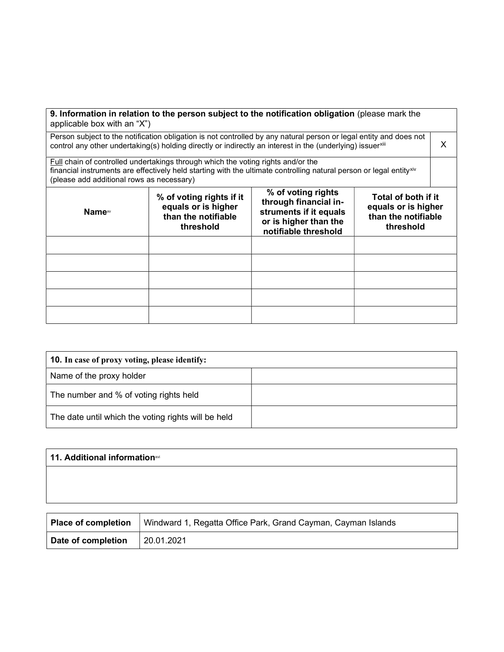| applicable box with an "X")                                                                                                                                                                                                                          |                                                                                     | 9. Information in relation to the person subject to the notification obligation (please mark the                       |                                                                                |  |
|------------------------------------------------------------------------------------------------------------------------------------------------------------------------------------------------------------------------------------------------------|-------------------------------------------------------------------------------------|------------------------------------------------------------------------------------------------------------------------|--------------------------------------------------------------------------------|--|
| Person subject to the notification obligation is not controlled by any natural person or legal entity and does not<br>control any other undertaking(s) holding directly or indirectly an interest in the (underlying) issuerxili                     |                                                                                     |                                                                                                                        |                                                                                |  |
| Full chain of controlled undertakings through which the voting rights and/or the<br>financial instruments are effectively held starting with the ultimate controlling natural person or legal entityxiv<br>(please add additional rows as necessary) |                                                                                     |                                                                                                                        |                                                                                |  |
| Name <sup>∞</sup>                                                                                                                                                                                                                                    | % of voting rights if it<br>equals or is higher<br>than the notifiable<br>threshold | % of voting rights<br>through financial in-<br>struments if it equals<br>or is higher than the<br>notifiable threshold | Total of both if it<br>equals or is higher<br>than the notifiable<br>threshold |  |

| <b>10.</b> In case of proxy voting, please identify: |  |
|------------------------------------------------------|--|
| Name of the proxy holder                             |  |
| The number and % of voting rights held               |  |
| The date until which the voting rights will be held  |  |

| 11. Additional informationxvi |  |  |
|-------------------------------|--|--|
|                               |  |  |
|                               |  |  |
|                               |  |  |

| Place of completion | Windward 1, Regatta Office Park, Grand Cayman, Cayman Islands |
|---------------------|---------------------------------------------------------------|
| Date of completion  | 20.01.2021                                                    |